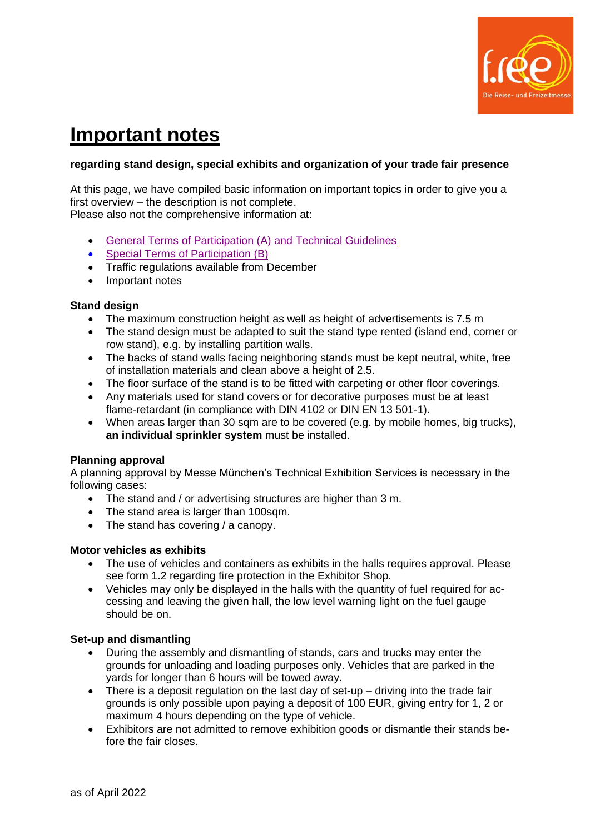

# **Important notes**

## **regarding stand design, special exhibits and organization of your trade fair presence**

At this page, we have compiled basic information on important topics in order to give you a first overview – the description is not complete.

Please also not the comprehensive information at:

- [General Terms of Participation \(A\) and Technical Guidelines](https://image-factory.media.messe-muenchen.de/asset/445098/free22_A-Bedingungen_2020_TechnRichtlinien_2020_E_low.pdf)
- [Special Terms of Participation \(B\)](https://image-factory.media.messe-muenchen.de/asset/461891/free23_Application_SpecialTerms_E_low.pdf)
- Traffic regulations available from December
- Important notes

## **Stand design**

- The maximum construction height as well as height of advertisements is 7.5 m
- The stand design must be adapted to suit the stand type rented (island end, corner or row stand), e.g. by installing partition walls.
- The backs of stand walls facing neighboring stands must be kept neutral, white, free of installation materials and clean above a height of 2.5.
- The floor surface of the stand is to be fitted with carpeting or other floor coverings.
- Any materials used for stand covers or for decorative purposes must be at least flame-retardant (in compliance with DIN 4102 or DIN EN 13 501-1).
- When areas larger than 30 sqm are to be covered (e.g. by mobile homes, big trucks), **an individual sprinkler system** must be installed.

## **Planning approval**

A planning approval by Messe München's Technical Exhibition Services is necessary in the following cases:

- The stand and / or advertising structures are higher than 3 m.
- The stand area is larger than 100sqm.
- The stand has covering / a canopy.

#### **Motor vehicles as exhibits**

- The use of vehicles and containers as exhibits in the halls requires approval. Please see form 1.2 regarding fire protection in the Exhibitor Shop.
- Vehicles may only be displayed in the halls with the quantity of fuel required for accessing and leaving the given hall, the low level warning light on the fuel gauge should be on.

## **Set-up and dismantling**

- During the assembly and dismantling of stands, cars and trucks may enter the grounds for unloading and loading purposes only. Vehicles that are parked in the yards for longer than 6 hours will be towed away.
- There is a deposit regulation on the last day of set-up driving into the trade fair grounds is only possible upon paying a deposit of 100 EUR, giving entry for 1, 2 or maximum 4 hours depending on the type of vehicle.
- Exhibitors are not admitted to remove exhibition goods or dismantle their stands before the fair closes.